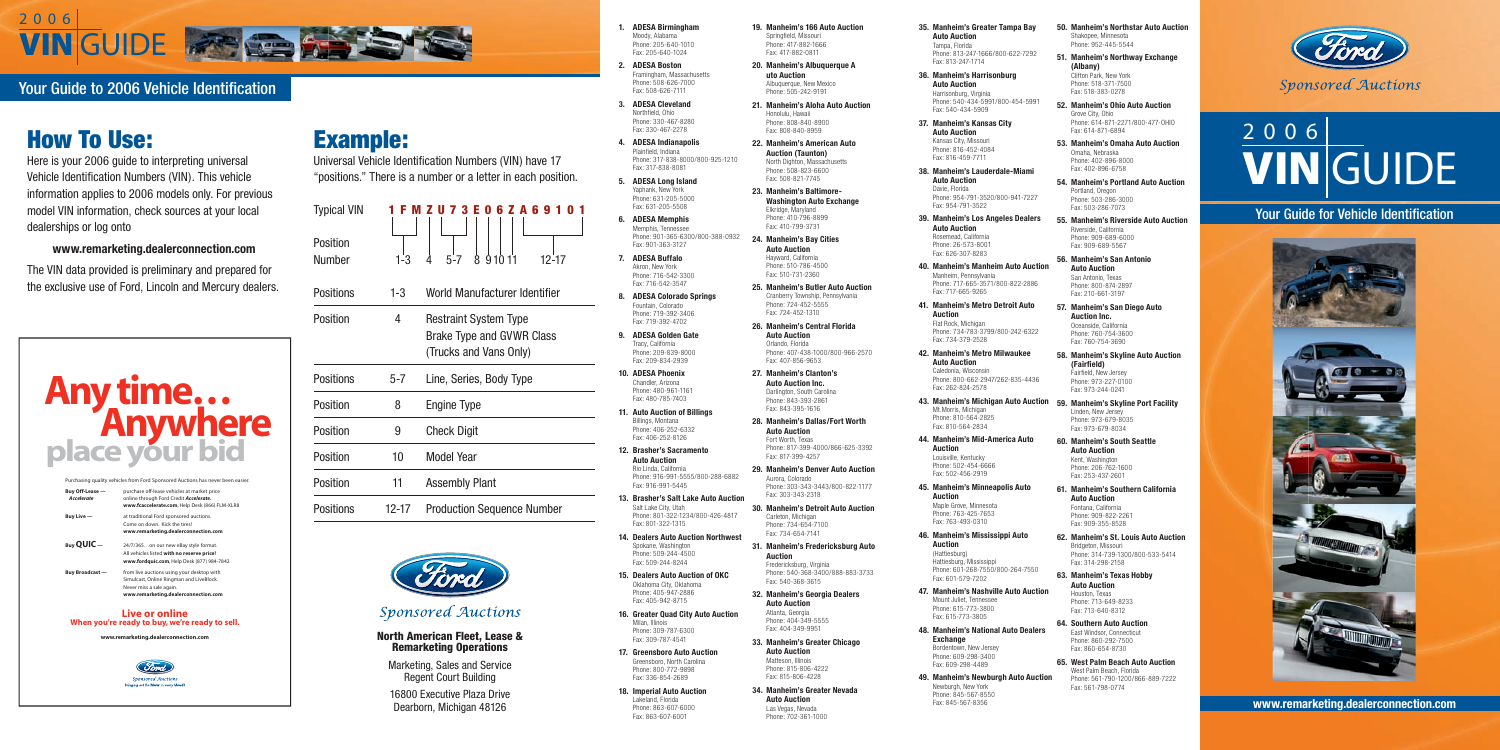

## Your Guide to 2006 Vehicle Identification

# VIN GUIDE 2 0 0 6

## Your Guide for Vehicle Identification







**www.remarketing.dealerconnection.com**

# How To Use:

Here is your 2006 guide to interpreting universal Vehicle Identification Numbers (VIN). This vehicle information applies to 2006 models only. For previous model VIN information, check sources at your local dealerships or log onto

**www.remarketing.dealerconnection.com**

The VIN data provided is preliminary and prepared for the exclusive use of Ford, Lincoln and Mercury dealers.

- **1. ADESA Birmingham** Moody, Alabama Phone: 205-640-1010 Fax: 205-640-1024
- **2. ADESA Boston** Framingham, Massachusetts Phone: 508-626-7000 Fax: 508-626-7111
- **3. ADESA Cleveland** Northfield, Ohio Phone: 330-467-8280 Fax: 330-467-2278
- **4. ADESA Indianapolis** Plainfield, Indiana Phone: 317-838-8000/800-925-1210 Fax: 317-838-8081
- **5. ADESA Long Island** Yaphank, New York Phone: 631-205-5000 Fax: 631-205-5508
- **6. ADESA Memphis** Memphis, Tennessee Phone: 901-365-6300/800-388-0932 Fax: 901-363-3127
- **7. ADESA Buffalo** Akron, New York Phone: 716-542-3300 Fax: 716-542-3547
- **8. ADESA Colorado Springs** Fountain, Colorado Phone: 719-392-3406 Fax: 719-392-4702
- **9. ADESA Golden Gate** Tracy, California Phone: 209-839-8000 Fax: 209-834-2939
- **10. ADESA Phoenix** Chandler, Arizona Phone: 480-961-1161 Fax: 480-785-7403
- **11. Auto Auction of Billings** Billings, Montana Phone: 406-252-6332 Fax: 406-252-8126
- **12. Brasher's Sacramento Auto Auction** Rio Linda, California Phone: 916-991-5555/800-288-6882 Fax: 916-991-5445
- **13. Brasher's Salt Lake Auto Auction** Salt Lake City, Utah Phone: 801-322-1234/800-426-4817 Fax: 801-322-1315
- **14. Dealers Auto Auction Northwest** Spokane, Washington Phone: 509-244-4500 Fax: 509-244-8244
- **15. Dealers Auto Auction of OKC** Oklahoma City, Oklahoma Phone: 405-947-2886 Fax: 405-942-8715
- **16. Greater Quad City Auto Auction** Milan, Illinois Phone: 309-787-6300 Fax: 309-787-4541
- **17. Greensboro Auto Auction** Greensboro, North Carolina Phone: 800-772-9898 Fax: 336-854-2689
- **18. Imperial Auto Auction** Lakeland, Florida Phone: 863-607-6000 Fax: 863-607-6001

**19. Manheim's 166 Auto Auction** Springfield, Missouri Phone: 417-882-1666 Fax: 417-882-0811

- **20. Manheim's Albuquerque A uto Auction** Albuquerque, New Mexico Phone: 505-242-9191
- **21. Manheim's Aloha Auto Auction** Honolulu, Hawaii Phone: 808-840-8900 Fax: 808-840-8959
- **22. Manheim's American Auto Auction (Taunton)** North Dighton, Massachusetts Phone: 508-823-6600 Fax: 508-821-7745
- **23. Manheim's Baltimore-Washington Auto Exchange** Elkridge, Maryland Phone: 410-796-8899 Fax: 410-799-3731
- **24. Manheim's Bay Cities Auto Auction** Hayward, California Phone: 510-786-4500 Fax: 510-731-2360

**25. Manheim's Butler Auto Auction** Cranberry Township, Pennsylvania Phone: 724-452-5555 Fax: 724-452-1310

- Fax: 614-871-6894 **53. Manheim's Omaha Auto Auction** Omaha, Nebraska Phone: 402-896-8000 Fax: 402-896-6758
- **54. Manheim's Portland Auto Auction** Portland, Oregon Phone: 503-286-3000 Fax: 503-286-7073
- **55. Manheim's Riverside Auto Auction** Riverside, California Phone: 909-689-6000 Fax: 909-689-5567
- **56. Manheim's San Antonio Auto Auction** San Antonio, Texas Phone: 800-874-2897 Fax: 210-661-3197
- **57. Manheim's San Diego Auto Auction Inc.** Oceanside, California Phone: 760-754-3600
- **26. Manheim's Central Florida Auto Auction** Orlando, Florida Phone: 407-438-1000/800-966-2570 Fax: 407-856-9653
- **27. Manheim's Clanton's Auto Auction Inc.** Darlington, South Carolina Phone: 843-393-2861 Fax: 843-395-1616
- **28. Manheim's Dallas/Fort Worth Auto Auction** Fort Worth, Texas Phone: 817-399-4000/866-625-3392 Fax: 817-399-4257
- **29. Manheim's Denver Auto Auction** Aurora, Colorado Phone: 303-343-3443/800-822-1177 Fax: 303-343-2318
- **30. Manheim's Detroit Auto Auction** Carleton, Michigan Phone: 734-654-7100 Fax: 734-654-7141
- **31. Manheim's Fredericksburg Auto Auction** Fredericksburg, Virginia Phone: 540-368-3400/888-883-3733 Fax: 540-368-3615
- **32. Manheim's Georgia Dealers Auto Auction** Atlanta, Georgia Phone: 404-349-5555 Fax: 404-349-9951
- **33. Manheim's Greater Chicago Auto Auction** Matteson, Illinois Phone: 815-806-4222 Fax: 815-806-4228
- **34. Manheim's Greater Nevada Auto Auction** Las Vegas, Nevada Phone: 702-361-1000

**35. Manheim's Greater Tampa Bay Auto Auction** Tampa, Florida

Phone: 813-247-1666/800-622-7292 Fax: 813-247-1714

**36. Manheim's Harrisonburg Auto Auction** Harrisonburg, Virginia Phone: 540-434-5991/800-454-5991 Fax: 540-434-5909

**37. Manheim's Kansas City Auto Auction** Kansas City, Missouri Phone: 816-452-4084 Fax: 816-459-7711

**38. Manheim's Lauderdale-Miami Auto Auction** Davie, Florida Phone: 954-791-3520/800-941-7227 Fax: 954-791-3522

**39. Manheim's Los Angeles Dealers Auto Auction** Rosemead, California Phone: 26-573-8001

Fax: 626-307-8283 **40. Manheim's Manheim Auto Auction** 

Manheim, Pennsylvania Phone: 717-665-3571/800-822-2886 Fax: 717-665-9265

**41. Manheim's Metro Detroit Auto Auction** Flat Rock, Michigan Phone: 734-783-3799/800-242-6322

Fax: 734-379-2528

**42. Manheim's Metro Milwaukee** 

**Auto Auction** Caledonia, Wisconsin Phone: 800-662-2947/262-835-4436 Fax: 262-824-2578

**43. Manheim's Michigan Auto Auction** Mt.Morris, Michigan Phone: 810-564-2825 Fax: 810-564-2834

**44. Manheim's Mid-America Auto Auction** Louisville, Kentucky Phone: 502-454-6666 Fax: 502-456-2919

**45. Manheim's Minneapolis Auto Auction**

Maple Grove, Minnesota Phone: 763-425-7653 Fax: 763-493-0310 **46. Manheim's Mississippi Auto** 

**Auction**

(Hattiesburg) Hattiesburg, Mississippi Phone: 601-268-7550/800-264-7550 Fax: 601-579-7202

**47. Manheim's Nashville Auto Auction** Mount Juliet, Tennessee

Phone: 615-773-3800 Fax: 615-773-3805

**48. Manheim's National Auto Dealers Exchange**

Bordentown, New Jersey Phone: 609-298-3400 Fax: 609-298-4489

**49. Manheim's Newburgh Auto Auction** Newburgh, New York

Phone: 845-567-8550 Fax: 845-567-8356

**50. Manheim's Northstar Auto Auction** Shakopee, Minnesota Phone: 952-445-5544

**51. Manheim's Northway Exchange (Albany)** Clifton Park, New York Phone: 518-371-7500

Fax: 518-383-0278 **52. Manheim's Ohio Auto Auction** Grove City, Ohio Phone: 614-871-2271/800-477-OHIO

Fax: 760-754-3690

**58. Manheim's Skyline Auto Auction (Fairfi eld)** Fairfield, New Jersey Phone: 973-227-0100 Fax: 973-244-0241

- **59. Manheim's Skyline Port Facility** Linden, New Jersey Phone: 973-679-8035 Fax: 973-679-8034
- **60. Manheim's South Seattle Auto Auction** Kent, Washington Phone: 206-762-1600 Fax: 253-437-2601
- **61. Manheim's Southern California Auto Auction** Fontana, California

Phone: 909-822-2261 Fax: 909-355-8528

- **62. Manheim's St. Louis Auto Auction** Bridgeton, Missouri Phone: 314-739-1300/800-533-5414 Fax: 314-298-2158
- **63. Manheim's Texas Hobby Auto Auction** Houston, Texas Phone: 713-649-8233 Fax: 713-640-8312
- **64. Southern Auto Auction** East Windsor, Connecticut Phone: 860-292-7500 Fax: 860-654-8730
- **65. West Palm Beach Auto Auction** West Palm Beach, Florida Phone: 561-790-1200/866-889-7222 Fax: 561-798-0774



# Example:

Universal Vehicle Identification Numbers (VIN) have 17 "positions." There is a number or a letter in each position.

| <b>Typical VIN</b> | FMZU7<br>$\blacksquare$ |  |
|--------------------|-------------------------|--|
|                    |                         |  |
| Position           |                         |  |
| Number             |                         |  |

Positions 1-3 World Manufacturer Identifier



3 E 0 6 Z A 6 9 1 0 1

Position 4 Restraint System Type Brake Type and GVWR Class (Trucks and Vans Only) Positions 5-7 Line, Series, Body Type Position 8 Engine Type Position 9 Check Digit Position **10** Model Year Position 11 Assembly Plant Positions 12-17 Production Sequence Number



### **Sponsored Auctions**

| Buy Off-Lease -        | purchase off-lease vehicles at market price    |
|------------------------|------------------------------------------------|
| <b>Accelerate</b>      | online through Ford Credit Accelerate.         |
|                        | www.fcaccelerate.com, Help Desk (866) FLM-XLR8 |
| Buy Live-              | at traditional Ford sponsored auctions.        |
|                        | Come on down. Kick the tires!                  |
|                        | www.remarketing.dealerconnection.com           |
| $B$ uv QUIC $-$        | 24/7/365on our new eBay style format.          |
|                        | All vehicles listed with no reserve price!     |
|                        | www.fordquic.com, Help Desk (877) 984-7842     |
| <b>Buy Broadcast —</b> | from live auctions using your desktop with     |
|                        | Simulcast, Online Ringman and LiveBlock.       |
|                        | Never miss a sale again.                       |
|                        | www.remarketing.dealerconnection.com           |

### **Live or online When you're ready to buy, we're ready to sell.**

**www.remarketing.dealerconnection.com**





### North American Fleet, Lease & Remarketing Operations

Marketing, Sales and Service **Regent Court Building** 

16800 Executive Plaza Drive Dearborn, Michigan 48126